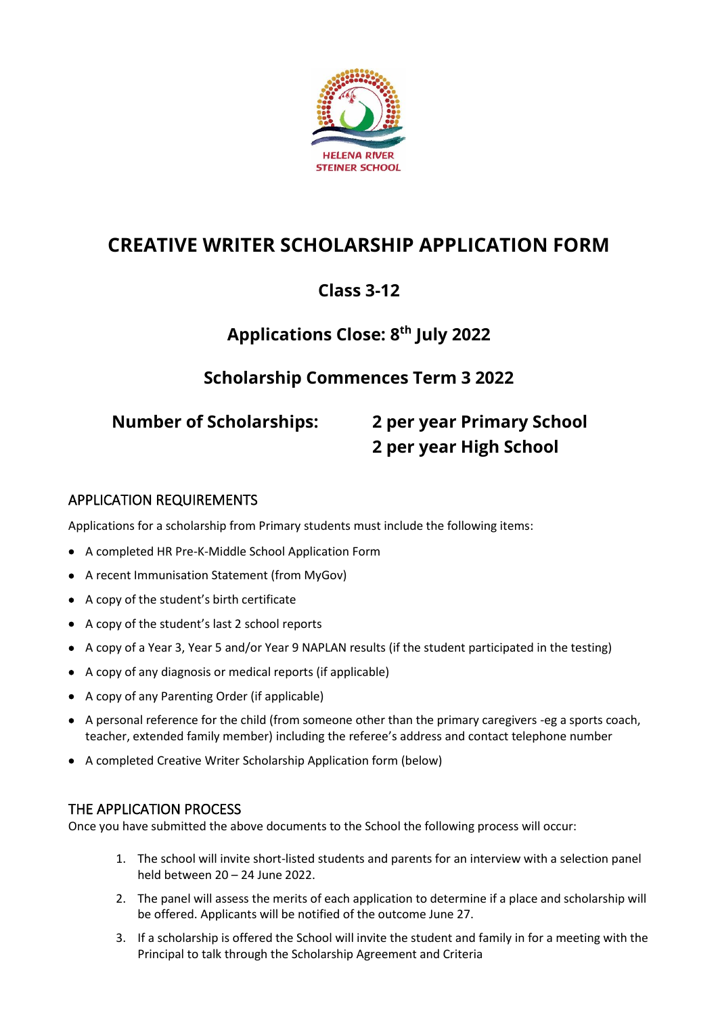

# **CREATIVE WRITER SCHOLARSHIP APPLICATION FORM**

## **Class 3-12**

## **Applications Close: 8 th July 2022**

## **Scholarship Commences Term 3 2022**

# **Number of Scholarships: 2 per year Primary School 2 per year High School**

### APPLICATION REQUIREMENTS

Applications for a scholarship from Primary students must include the following items:

- A completed HR Pre-K-Middle School Application Form
- A recent Immunisation Statement (from MyGov)
- A copy of the student's birth certificate
- A copy of the student's last 2 school reports
- A copy of a Year 3, Year 5 and/or Year 9 NAPLAN results (if the student participated in the testing)
- A copy of any diagnosis or medical reports (if applicable)
- A copy of any Parenting Order (if applicable)
- A personal reference for the child (from someone other than the primary caregivers -eg a sports coach, teacher, extended family member) including the referee's address and contact telephone number
- A completed Creative Writer Scholarship Application form (below)

#### THE APPLICATION PROCESS

Once you have submitted the above documents to the School the following process will occur:

- 1. The school will invite short-listed students and parents for an interview with a selection panel held between 20 – 24 June 2022.
- 2. The panel will assess the merits of each application to determine if a place and scholarship will be offered. Applicants will be notified of the outcome June 27.
- 3. If a scholarship is offered the School will invite the student and family in for a meeting with the Principal to talk through the Scholarship Agreement and Criteria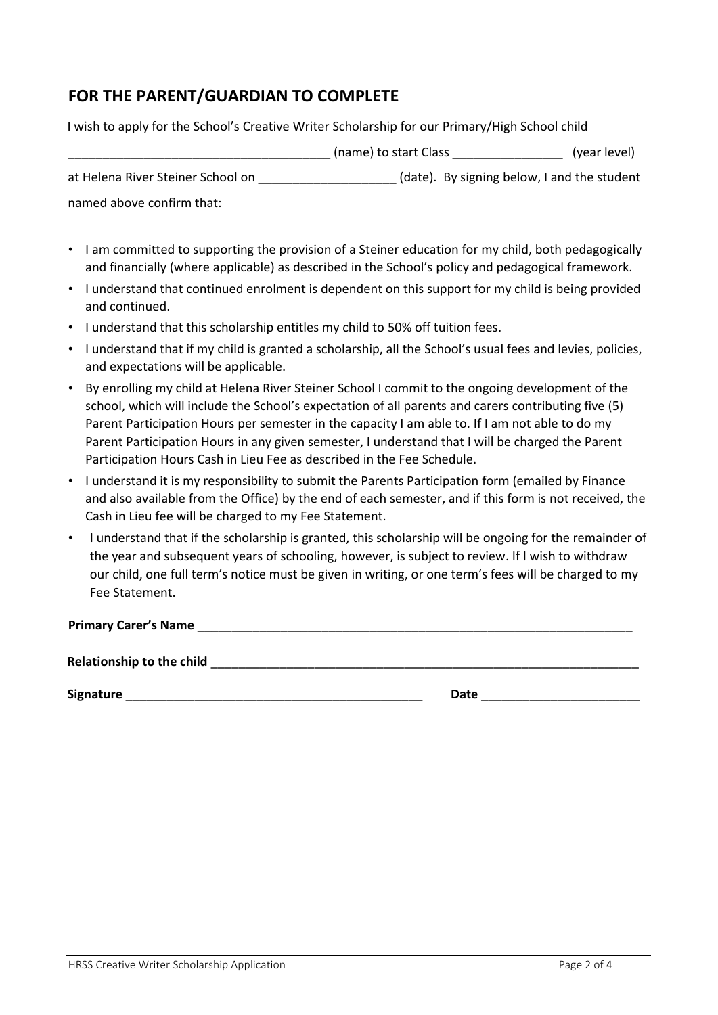## **FOR THE PARENT/GUARDIAN TO COMPLETE**

I wish to apply for the School's Creative Writer Scholarship for our Primary/High School child

|                                   | (name) to start Class                       | (year level) |
|-----------------------------------|---------------------------------------------|--------------|
| at Helena River Steiner School on | (date). By signing below, I and the student |              |
| named above confirm that:         |                                             |              |

- I am committed to supporting the provision of a Steiner education for my child, both pedagogically and financially (where applicable) as described in the School's policy and pedagogical framework.
- I understand that continued enrolment is dependent on this support for my child is being provided and continued.
- I understand that this scholarship entitles my child to 50% off tuition fees.
- I understand that if my child is granted a scholarship, all the School's usual fees and levies, policies, and expectations will be applicable.
- By enrolling my child at Helena River Steiner School I commit to the ongoing development of the school, which will include the School's expectation of all parents and carers contributing five (5) Parent Participation Hours per semester in the capacity I am able to. If I am not able to do my Parent Participation Hours in any given semester, I understand that I will be charged the Parent Participation Hours Cash in Lieu Fee as described in the Fee Schedule.
- I understand it is my responsibility to submit the Parents Participation form (emailed by Finance and also available from the Office) by the end of each semester, and if this form is not received, the Cash in Lieu fee will be charged to my Fee Statement.
- I understand that if the scholarship is granted, this scholarship will be ongoing for the remainder of the year and subsequent years of schooling, however, is subject to review. If I wish to withdraw our child, one full term's notice must be given in writing, or one term's fees will be charged to my Fee Statement.

#### Primary Carer's Name **Department of the United States of the United States of the United States of the United States of the United States of the United States of the United States of the United States of the United States**

Relationship to the child **and the child and the child and the child and the child** 

**Signature** \_\_\_\_\_\_\_\_\_\_\_\_\_\_\_\_\_\_\_\_\_\_\_\_\_\_\_\_\_\_\_\_\_\_\_\_\_\_\_\_\_\_\_ **Date** \_\_\_\_\_\_\_\_\_\_\_\_\_\_\_\_\_\_\_\_\_\_\_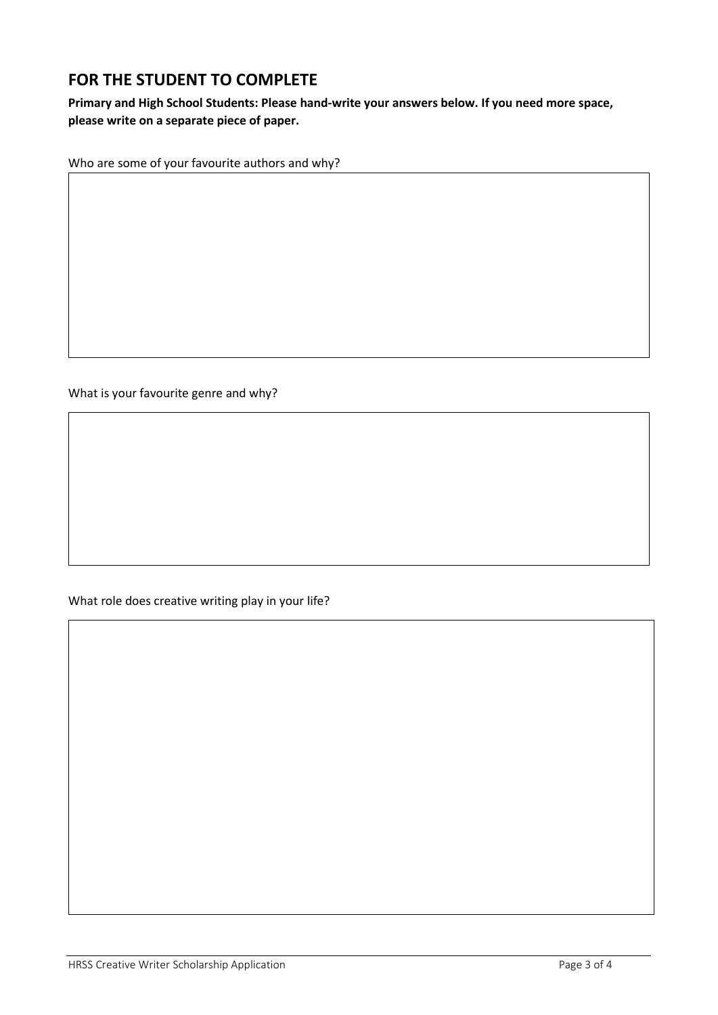## **FOR THE STUDENT TO COMPLETE**

**Primary and High School Students: Please hand-write your answers below. If you need more space, please write on a separate piece of paper.**

Who are some of your favourite authors and why?

What is your favourite genre and why?

What role does creative writing play in your life?